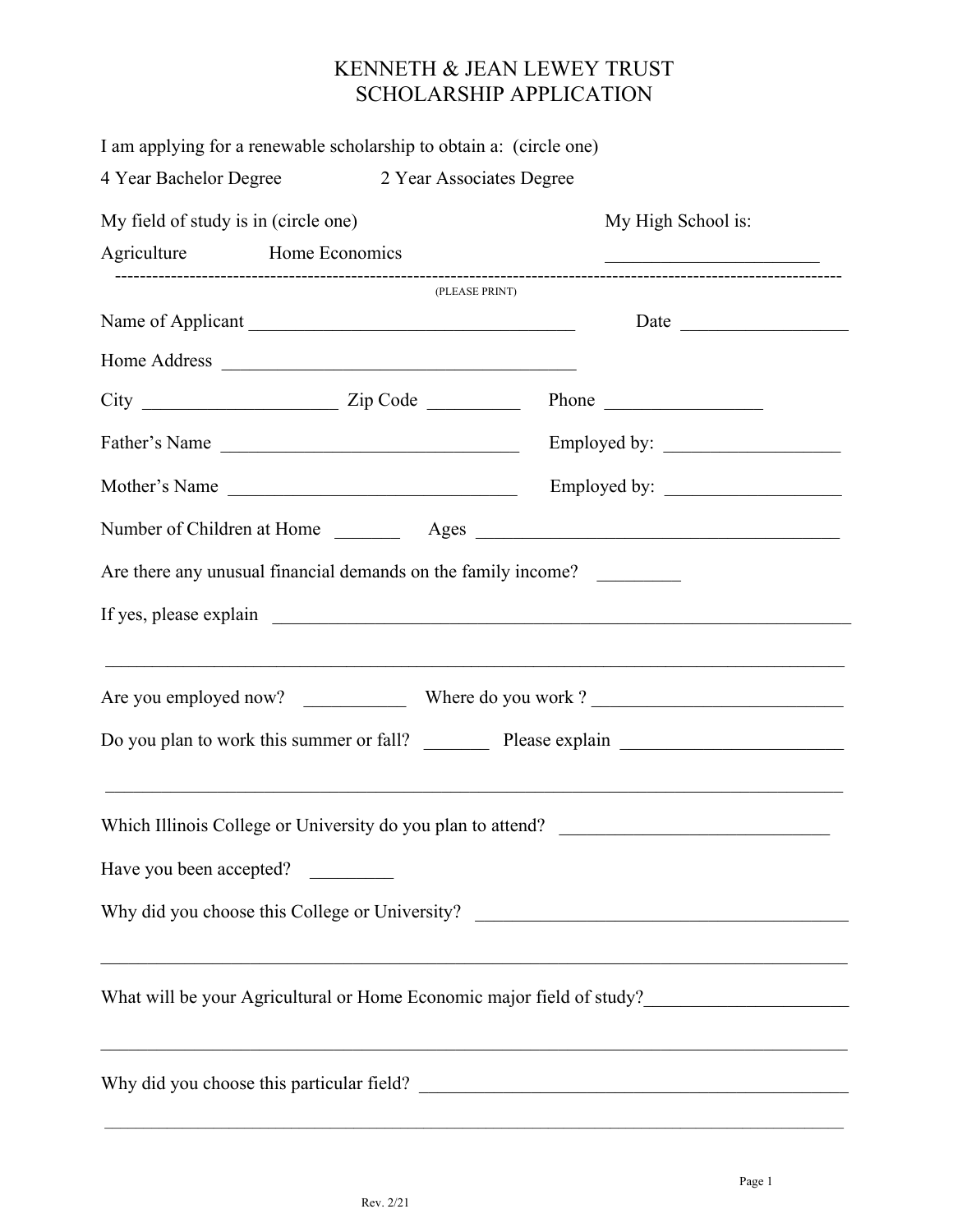## KENNETH & JEAN LEWEY TRUST SCHOLARSHIP APPLICATION

|                                      | I am applying for a renewable scholarship to obtain a: (circle one) |                                                                                                                        |
|--------------------------------------|---------------------------------------------------------------------|------------------------------------------------------------------------------------------------------------------------|
|                                      | 4 Year Bachelor Degree 2 Year Associates Degree                     |                                                                                                                        |
| My field of study is in (circle one) |                                                                     | My High School is:                                                                                                     |
|                                      | Agriculture Home Economics                                          | <u> 1989 - Johann John Stone, market fan it ferskearre fan it ferskearre fan it ferskearre fan it ferskearre fan i</u> |
|                                      | (PLEASE PRINT)                                                      |                                                                                                                        |
|                                      |                                                                     |                                                                                                                        |
|                                      |                                                                     |                                                                                                                        |
|                                      |                                                                     |                                                                                                                        |
|                                      |                                                                     |                                                                                                                        |
|                                      | Mother's Name                                                       |                                                                                                                        |
|                                      |                                                                     |                                                                                                                        |
|                                      | Are there any unusual financial demands on the family income?       | <u> 1989 - Jan James James James James James James James James James James James James James James James James J</u>   |
|                                      |                                                                     |                                                                                                                        |
|                                      |                                                                     | Do you plan to work this summer or fall? Please explain                                                                |
|                                      | Which Illinois College or University do you plan to attend?         |                                                                                                                        |
|                                      | Have you been accepted?                                             |                                                                                                                        |
|                                      |                                                                     | Why did you choose this College or University? __________________________________                                      |
|                                      |                                                                     | What will be your Agricultural or Home Economic major field of study?_______________________________                   |
|                                      |                                                                     | <u> 1989 - Johann Stoff, amerikansk politiker (d. 1989)</u>                                                            |
|                                      |                                                                     |                                                                                                                        |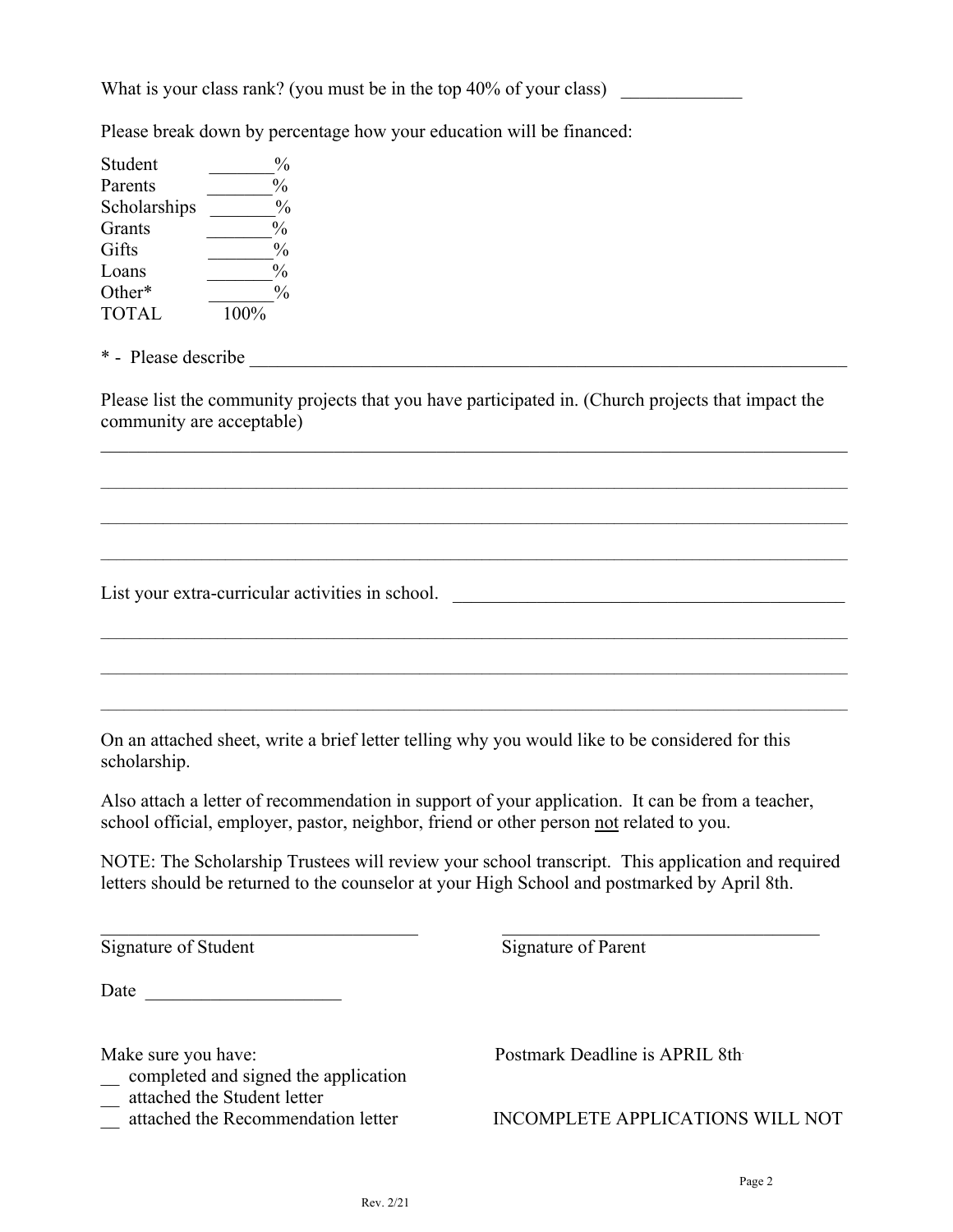What is your class rank? (you must be in the top  $40\%$  of your class)

Please break down by percentage how your education will be financed:

Student  $\frac{9}{6}$ Parents  $\frac{9}{6}$ Scholarships  $\frac{9}{6}$ Grants  $\frac{9}{6}$ Gifts  $\frac{9}{6}$  $\frac{6}{3}$   $\frac{6}{3}$   $\frac{6}{3}$   $\frac{6}{3}$   $\frac{6}{3}$   $\frac{6}{3}$   $\frac{6}{3}$   $\frac{6}{3}$   $\frac{6}{3}$   $\frac{6}{3}$   $\frac{6}{3}$   $\frac{6}{3}$   $\frac{6}{3}$   $\frac{6}{3}$   $\frac{6}{3}$   $\frac{6}{3}$   $\frac{6}{3}$   $\frac{6}{3}$   $\frac{6}{3}$   $\frac{6}{3}$   $\frac{6}{3}$   $\frac{6}{3}$  Other\*  $\frac{9}{6}$ TOTAL 100%

\* - Please describe

Please list the community projects that you have participated in. (Church projects that impact the community are acceptable)

 $\_$  , and the contribution of the contribution of the contribution of the contribution of  $\mathcal{L}_\text{max}$ 

 $\_$  , and the state of the state of the state of the state of the state of the state of the state of the state of the state of the state of the state of the state of the state of the state of the state of the state of the

 $\_$  , and the state of the state of the state of the state of the state of the state of the state of the state of the state of the state of the state of the state of the state of the state of the state of the state of the

 $\_$  , and the state of the state of the state of the state of the state of the state of the state of the state of the state of the state of the state of the state of the state of the state of the state of the state of the

 $\mathcal{L}_\mathcal{L} = \mathcal{L}_\mathcal{L} = \mathcal{L}_\mathcal{L} = \mathcal{L}_\mathcal{L} = \mathcal{L}_\mathcal{L} = \mathcal{L}_\mathcal{L} = \mathcal{L}_\mathcal{L} = \mathcal{L}_\mathcal{L} = \mathcal{L}_\mathcal{L} = \mathcal{L}_\mathcal{L} = \mathcal{L}_\mathcal{L} = \mathcal{L}_\mathcal{L} = \mathcal{L}_\mathcal{L} = \mathcal{L}_\mathcal{L} = \mathcal{L}_\mathcal{L} = \mathcal{L}_\mathcal{L} = \mathcal{L}_\mathcal{L}$ 

List your extra-curricular activities in school. \_\_\_\_\_\_\_\_\_\_\_\_\_\_\_\_\_\_\_\_\_\_\_\_\_\_\_\_\_\_\_\_

On an attached sheet, write a brief letter telling why you would like to be considered for this scholarship.

Also attach a letter of recommendation in support of your application. It can be from a teacher, school official, employer, pastor, neighbor, friend or other person not related to you.

NOTE: The Scholarship Trustees will review your school transcript. This application and required letters should be returned to the counselor at your High School and postmarked by April 8th.

Signature of Student Signature of Parent

Date  $\Box$ 

\_\_ completed and signed the application

 $\mathcal{L}_\text{max} = \mathcal{L}_\text{max} = \mathcal{L}_\text{max} = \mathcal{L}_\text{max} = \mathcal{L}_\text{max} = \mathcal{L}_\text{max} = \mathcal{L}_\text{max} = \mathcal{L}_\text{max} = \mathcal{L}_\text{max} = \mathcal{L}_\text{max} = \mathcal{L}_\text{max} = \mathcal{L}_\text{max} = \mathcal{L}_\text{max} = \mathcal{L}_\text{max} = \mathcal{L}_\text{max} = \mathcal{L}_\text{max} = \mathcal{L}_\text{max} = \mathcal{L}_\text{max} = \mathcal{$ 

Make sure you have: Postmark Deadline is APRIL 8th.

\_ attached the Recommendation letter INCOMPLETE APPLICATIONS WILL NOT